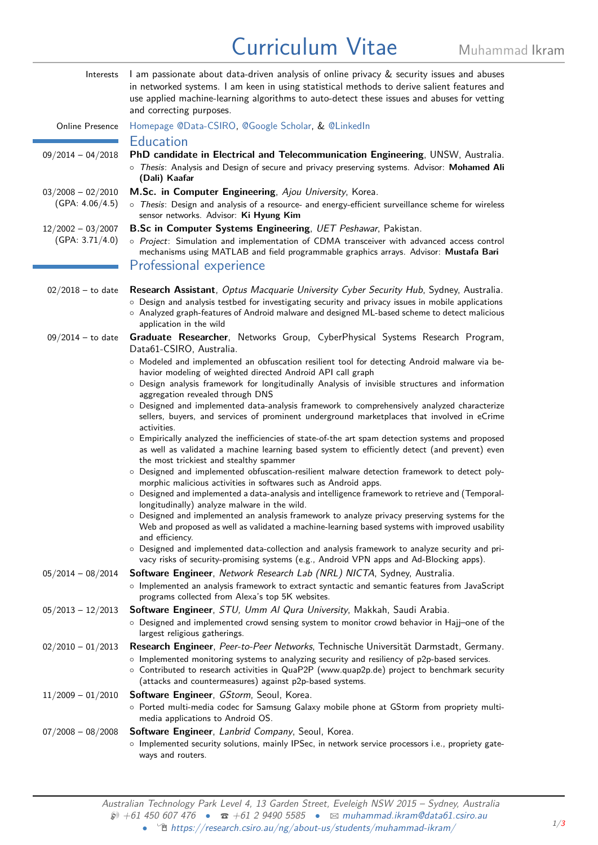## Curriculum Vitae Muhammad Ikram

| Interests                              | I am passionate about data-driven analysis of online privacy & security issues and abuses<br>in networked systems. I am keen in using statistical methods to derive salient features and<br>use applied machine-learning algorithms to auto-detect these issues and abuses for vetting<br>and correcting purposes.      |
|----------------------------------------|-------------------------------------------------------------------------------------------------------------------------------------------------------------------------------------------------------------------------------------------------------------------------------------------------------------------------|
| Online Presence                        | Homepage @Data-CSIRO, @Google Scholar, & @LinkedIn                                                                                                                                                                                                                                                                      |
| $09/2014 - 04/2018$                    | <b>Education</b><br>PhD candidate in Electrical and Telecommunication Engineering, UNSW, Australia.<br>o Thesis: Analysis and Design of secure and privacy preserving systems. Advisor: Mohamed Ali<br>(Dali) Kaafar                                                                                                    |
| $03/2008 - 02/2010$<br>(GPA: 4.06/4.5) | M.Sc. in Computer Engineering, Ajou University, Korea.<br>o Thesis: Design and analysis of a resource- and energy-efficient surveillance scheme for wireless<br>sensor networks. Advisor: Ki Hyung Kim                                                                                                                  |
| $12/2002 - 03/2007$<br>(GPA: 3.71/4.0) | B.Sc in Computer Systems Engineering, UET Peshawar, Pakistan.<br>o Project: Simulation and implementation of CDMA transceiver with advanced access control<br>mechanisms using MATLAB and field programmable graphics arrays. Advisor: Mustafa Bari                                                                     |
|                                        | Professional experience                                                                                                                                                                                                                                                                                                 |
| $02/2018 -$ to date                    | Research Assistant, Optus Macquarie University Cyber Security Hub, Sydney, Australia.<br>o Design and analysis testbed for investigating security and privacy issues in mobile applications<br>○ Analyzed graph-features of Android malware and designed ML-based scheme to detect malicious<br>application in the wild |
| $09/2014 -$ to date                    | Graduate Researcher, Networks Group, CyberPhysical Systems Research Program,<br>Data61-CSIRO, Australia.                                                                                                                                                                                                                |
|                                        | o Modeled and implemented an obfuscation resilient tool for detecting Android malware via be-<br>havior modeling of weighted directed Android API call graph<br>o Design analysis framework for longitudinally Analysis of invisible structures and information                                                         |
|                                        | aggregation revealed through DNS                                                                                                                                                                                                                                                                                        |
|                                        | o Designed and implemented data-analysis framework to comprehensively analyzed characterize<br>sellers, buyers, and services of prominent underground marketplaces that involved in eCrime<br>activities.                                                                                                               |
|                                        | o Empirically analyzed the inefficiencies of state-of-the art spam detection systems and proposed<br>as well as validated a machine learning based system to efficiently detect (and prevent) even<br>the most trickiest and stealthy spammer                                                                           |
|                                        | o Designed and implemented obfuscation-resilient malware detection framework to detect poly-<br>morphic malicious activities in softwares such as Android apps.                                                                                                                                                         |
|                                        | o Designed and implemented a data-analysis and intelligence framework to retrieve and (Temporal-<br>longitudinally) analyze malware in the wild.                                                                                                                                                                        |
|                                        | o Designed and implemented an analysis framework to analyze privacy preserving systems for the<br>Web and proposed as well as validated a machine-learning based systems with improved usability<br>and efficiency.                                                                                                     |
|                                        | o Designed and implemented data-collection and analysis framework to analyze security and pri-<br>vacy risks of security-promising systems (e.g., Android VPN apps and Ad-Blocking apps).                                                                                                                               |
| $05/2014 - 08/2014$                    | Software Engineer, Network Research Lab (NRL) NICTA, Sydney, Australia.                                                                                                                                                                                                                                                 |
|                                        | o Implemented an analysis framework to extract syntactic and semantic features from JavaScript<br>programs collected from Alexa's top 5K websites.                                                                                                                                                                      |
| $05/2013 - 12/2013$                    | Software Engineer, STU, Umm AI Qura University, Makkah, Saudi Arabia.                                                                                                                                                                                                                                                   |
|                                        | o Designed and implemented crowd sensing system to monitor crowd behavior in Hajj-one of the<br>largest religious gatherings.                                                                                                                                                                                           |
| $02/2010 - 01/2013$                    | Research Engineer, Peer-to-Peer Networks, Technische Universität Darmstadt, Germany.                                                                                                                                                                                                                                    |
|                                        | $\circ$ Implemented monitoring systems to analyzing security and resiliency of p2p-based services.<br>○ Contributed to research activities in QuaP2P (www.quap2p.de) project to benchmark security<br>(attacks and countermeasures) against p2p-based systems.                                                          |
| $11/2009 - 01/2010$                    | Software Engineer, GStorm, Seoul, Korea.                                                                                                                                                                                                                                                                                |
|                                        | o Ported multi-media codec for Samsung Galaxy mobile phone at GStorm from propriety multi-<br>media applications to Android OS.                                                                                                                                                                                         |
| $07/2008 - 08/2008$                    | Software Engineer, Lanbrid Company, Seoul, Korea.                                                                                                                                                                                                                                                                       |
|                                        | o Implemented security solutions, mainly IPSec, in network service processors i.e., propriety gate-<br>ways and routers.                                                                                                                                                                                                |
|                                        |                                                                                                                                                                                                                                                                                                                         |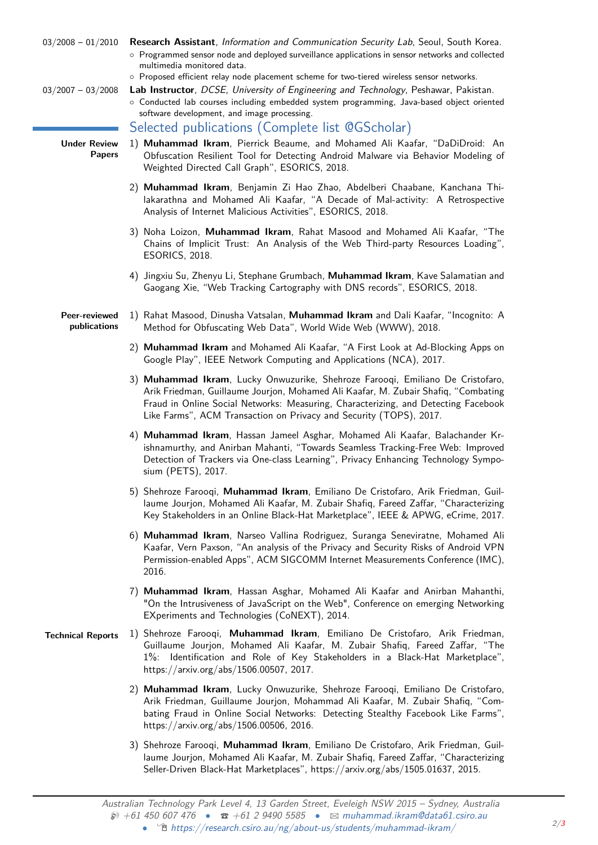| $03/2007 - 03/2008$                  | o Programmed sensor node and deployed surveillance applications in sensor networks and collected<br>multimedia monitored data.<br>o Proposed efficient relay node placement scheme for two-tiered wireless sensor networks.<br>Lab Instructor, DCSE, University of Engineering and Technology, Peshawar, Pakistan.<br>o Conducted lab courses including embedded system programming, Java-based object oriented<br>software development, and image processing.<br>Selected publications (Complete list @GScholar) |
|--------------------------------------|-------------------------------------------------------------------------------------------------------------------------------------------------------------------------------------------------------------------------------------------------------------------------------------------------------------------------------------------------------------------------------------------------------------------------------------------------------------------------------------------------------------------|
| <b>Under Review</b><br><b>Papers</b> | 1) Muhammad Ikram, Pierrick Beaume, and Mohamed Ali Kaafar, "DaDiDroid: An<br>Obfuscation Resilient Tool for Detecting Android Malware via Behavior Modeling of<br>Weighted Directed Call Graph", ESORICS, 2018.                                                                                                                                                                                                                                                                                                  |
|                                      | 2) Muhammad Ikram, Benjamin Zi Hao Zhao, Abdelberi Chaabane, Kanchana Thi-<br>lakarathna and Mohamed Ali Kaafar, "A Decade of Mal-activity: A Retrospective<br>Analysis of Internet Malicious Activities", ESORICS, 2018.                                                                                                                                                                                                                                                                                         |
|                                      | 3) Noha Loizon, Muhammad Ikram, Rahat Masood and Mohamed Ali Kaafar, "The<br>Chains of Implicit Trust: An Analysis of the Web Third-party Resources Loading",<br>ESORICS, 2018.                                                                                                                                                                                                                                                                                                                                   |
|                                      | 4) Jingxiu Su, Zhenyu Li, Stephane Grumbach, Muhammad Ikram, Kave Salamatian and<br>Gaogang Xie, "Web Tracking Cartography with DNS records", ESORICS, 2018.                                                                                                                                                                                                                                                                                                                                                      |
| Peer-reviewed<br>publications        | 1) Rahat Masood, Dinusha Vatsalan, Muhammad Ikram and Dali Kaafar, "Incognito: A<br>Method for Obfuscating Web Data", World Wide Web (WWW), 2018.                                                                                                                                                                                                                                                                                                                                                                 |
|                                      | 2) Muhammad Ikram and Mohamed Ali Kaafar, "A First Look at Ad-Blocking Apps on<br>Google Play", IEEE Network Computing and Applications (NCA), 2017.                                                                                                                                                                                                                                                                                                                                                              |
|                                      | 3) Muhammad Ikram, Lucky Onwuzurike, Shehroze Farooqi, Emiliano De Cristofaro,<br>Arik Friedman, Guillaume Jourjon, Mohamed Ali Kaafar, M. Zubair Shafiq, "Combating<br>Fraud in Online Social Networks: Measuring, Characterizing, and Detecting Facebook<br>Like Farms", ACM Transaction on Privacy and Security (TOPS), 2017.                                                                                                                                                                                  |
|                                      | 4) Muhammad Ikram, Hassan Jameel Asghar, Mohamed Ali Kaafar, Balachander Kr-<br>ishnamurthy, and Anirban Mahanti, "Towards Seamless Tracking-Free Web: Improved<br>Detection of Trackers via One-class Learning", Privacy Enhancing Technology Sympo-<br>sium (PETS), 2017.                                                                                                                                                                                                                                       |
|                                      | 5) Shehroze Farooqi, Muhammad Ikram, Emiliano De Cristofaro, Arik Friedman, Guil-<br>laume Jourjon, Mohamed Ali Kaafar, M. Zubair Shafiq, Fareed Zaffar, "Characterizing<br>Key Stakeholders in an Online Black-Hat Marketplace", IEEE & APWG, eCrime, 2017.                                                                                                                                                                                                                                                      |
|                                      | 6) Muhammad Ikram, Narseo Vallina Rodriguez, Suranga Seneviratne, Mohamed Ali<br>Kaafar, Vern Paxson, "An analysis of the Privacy and Security Risks of Android VPN<br>Permission-enabled Apps", ACM SIGCOMM Internet Measurements Conference (IMC),<br>2016.                                                                                                                                                                                                                                                     |
|                                      | 7) Muhammad Ikram, Hassan Asghar, Mohamed Ali Kaafar and Anirban Mahanthi,<br>"On the Intrusiveness of JavaScript on the Web", Conference on emerging Networking<br>EXperiments and Technologies (CoNEXT), 2014.                                                                                                                                                                                                                                                                                                  |
| <b>Technical Reports</b>             | 1) Shehroze Farooqi, Muhammad Ikram, Emiliano De Cristofaro, Arik Friedman,<br>Guillaume Jourjon, Mohamed Ali Kaafar, M. Zubair Shafiq, Fareed Zaffar, "The<br>1%: Identification and Role of Key Stakeholders in a Black-Hat Marketplace",<br>https://arxiv.org/abs/1506.00507, 2017.                                                                                                                                                                                                                            |
|                                      | 2) Muhammad Ikram, Lucky Onwuzurike, Shehroze Farooqi, Emiliano De Cristofaro,<br>Arik Friedman, Guillaume Jourjon, Mohammad Ali Kaafar, M. Zubair Shafiq, "Com-<br>bating Fraud in Online Social Networks: Detecting Stealthy Facebook Like Farms",<br>https://arxiv.org/abs/1506.00506, 2016.                                                                                                                                                                                                                   |
|                                      | 3) Shehroze Farooqi, Muhammad Ikram, Emiliano De Cristofaro, Arik Friedman, Guil-<br>laume Jourjon, Mohamed Ali Kaafar, M. Zubair Shafiq, Fareed Zaffar, "Characterizing                                                                                                                                                                                                                                                                                                                                          |

03/2008 – 01/2010 **Research Assistant**, Information and Communication Security Lab, Seoul, South Korea.

Seller-Driven Black-Hat Marketplaces", https://arxiv.org/abs/1505.01637, 2015.